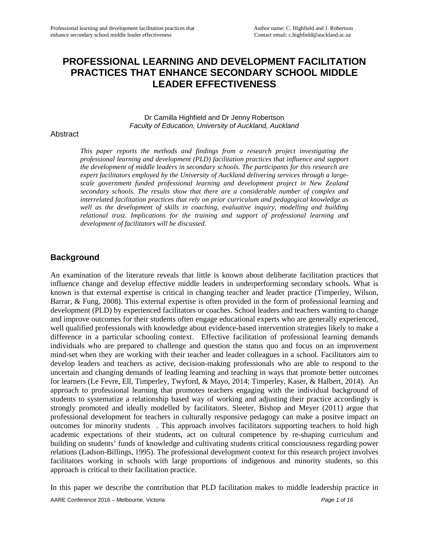# **PROFESSIONAL LEARNING AND DEVELOPMENT FACILITATION PRACTICES THAT ENHANCE SECONDARY SCHOOL MIDDLE LEADER EFFECTIVENESS**

Dr Camilla Highfield and Dr Jenny Robertson *Faculty of Education, University of Auckland, Auckland*

#### **Abstract**

*This paper reports the methods and findings from a research project investigating the professional learning and development (PLD) facilitation practices that influence and support the development of middle leaders in secondary schools. The participants for this research are expert facilitators employed by the University of Auckland delivering services through a largescale government funded professional learning and development project in New Zealand secondary schools. The results show that there are a considerable number of complex and interrelated facilitation practices that rely on prior curriculum and pedagogical knowledge as well as the development of skills in coaching, evaluative inquiry, modelling and building relational trust. Implications for the training and support of professional learning and development of facilitators will be discussed.*

## **Background**

An examination of the literature reveals that little is known about deliberate facilitation practices that influence change and develop effective middle leaders in underperforming secondary schools. What is known is that external expertise is critical in changing teacher and leader practice (Timperley, Wilson, Barrar, & Fung, 2008). This external expertise is often provided in the form of professional learning and development (PLD) by experienced facilitators or coaches. School leaders and teachers wanting to change and improve outcomes for their students often engage educational experts who are generally experienced, well qualified professionals with knowledge about evidence-based intervention strategies likely to make a difference in a particular schooling context. Effective facilitation of professional learning demands individuals who are prepared to challenge and question the status quo and focus on an improvement mind-set when they are working with their teacher and leader colleagues in a school. Facilitators aim to develop leaders and teachers as active, decision-making professionals who are able to respond to the uncertain and changing demands of leading learning and teaching in ways that promote better outcomes for learners (Le Fevre, Ell, Timperley, Twyford, & Mayo, 2014; Timperley, Kaser, & Halbert, 2014). An approach to professional learning that promotes teachers engaging with the individual background of students to systematize a relationship based way of working and adjusting their practice accordingly is strongly promoted and ideally modelled by facilitators. Sleeter, Bishop and Meyer (2011) argue that professional development for teachers in culturally responsive pedagogy can make a positve impact on outcomes for minority students . This approach involves facilitators supporting teachers to hold high academic expectations of their students, act on cultural competence by re-shaping curriculum and building on students' funds of knowledge and cultivating students critical consciousness regarding power relations (Ladson-Billings, 1995). The professional development context for this research project involves facilitators working in schools with large proportions of indigenous and minority students, so this approach is critical to their facilitation practice.

In this paper we describe the contribution that PLD facilitation makes to middle leadership practice in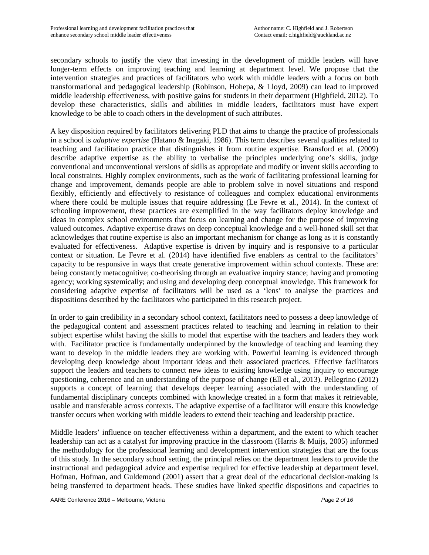secondary schools to justify the view that investing in the development of middle leaders will have longer-term effects on improving teaching and learning at department level. We propose that the intervention strategies and practices of facilitators who work with middle leaders with a focus on both transformational and pedagogical leadership (Robinson, Hohepa, & Lloyd, 2009) can lead to improved middle leadership effectiveness, with positive gains for students in their department (Highfield, 2012). To develop these characteristics, skills and abilities in middle leaders, facilitators must have expert knowledge to be able to coach others in the development of such attributes.

A key disposition required by facilitators delivering PLD that aims to change the practice of professionals in a school is *adaptive expertise* (Hatano & Inagaki, 1986). This term describes several qualities related to teaching and facilitation practice that distinguishes it from routine expertise. Bransford et al. (2009) describe adaptive expertise as the ability to verbalise the principles underlying one's skills, judge conventional and unconventional versions of skills as appropriate and modify or invent skills according to local constraints. Highly complex environments, such as the work of facilitating professional learning for change and improvement, demands people are able to problem solve in novel situations and respond flexibly, efficiently and effectively to resistance of colleagues and complex educational environments where there could be multiple issues that require addressing (Le Fevre et al., 2014). In the context of schooling improvement, these practices are exemplified in the way facilitators deploy knowledge and ideas in complex school environments that focus on learning and change for the purpose of improving valued outcomes. Adaptive expertise draws on deep conceptual knowledge and a well-honed skill set that acknowledges that routine expertise is also an important mechanism for change as long as it is constantly evaluated for effectiveness. Adaptive expertise is driven by inquiry and is responsive to a particular context or situation. Le Fevre et al. (2014) have identified five enablers as central to the facilitators' capacity to be responsive in ways that create generative improvement within school contexts. These are: being constantly metacognitive; co-theorising through an evaluative inquiry stance; having and promoting agency; working systemically; and using and developing deep conceptual knowledge. This framework for considering adaptive expertise of facilitators will be used as a 'lens' to analyse the practices and dispositions described by the facilitators who participated in this research project.

In order to gain credibility in a secondary school context, facilitators need to possess a deep knowledge of the pedagogical content and assessment practices related to teaching and learning in relation to their subject expertise whilst having the skills to model that expertise with the teachers and leaders they work with. Facilitator practice is fundamentally underpinned by the knowledge of teaching and learning they want to develop in the middle leaders they are working with. Powerful learning is evidenced through developing deep knowledge about important ideas and their associated practices. Effective facilitators support the leaders and teachers to connect new ideas to existing knowledge using inquiry to encourage questioning, coherence and an understanding of the purpose of change (Ell et al., 2013). Pellegrino (2012) supports a concept of learning that develops deeper learning associated with the understanding of fundamental disciplinary concepts combined with knowledge created in a form that makes it retrievable, usable and transferable across contexts. The adaptive expertise of a facilitator will ensure this knowledge transfer occurs when working with middle leaders to extend their teaching and leadership practice.

Middle leaders' influence on teacher effectiveness within a department, and the extent to which teacher leadership can act as a catalyst for improving practice in the classroom (Harris & Muijs, 2005) informed the methodology for the professional learning and development intervention strategies that are the focus of this study. In the secondary school setting, the principal relies on the department leaders to provide the instructional and pedagogical advice and expertise required for effective leadership at department level. Hofman, Hofman, and Guldemond (2001) assert that a great deal of the educational decision-making is being transferred to department heads. These studies have linked specific dispositions and capacities to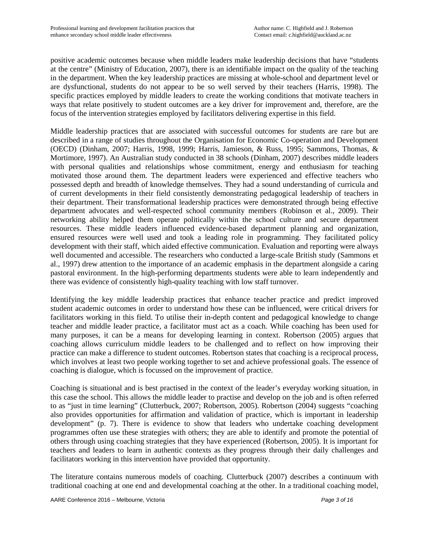positive academic outcomes because when middle leaders make leadership decisions that have "students at the centre" (Ministry of Education, 2007), there is an identifiable impact on the quality of the teaching in the department. When the key leadership practices are missing at whole-school and department level or are dysfunctional, students do not appear to be so well served by their teachers (Harris, 1998). The specific practices employed by middle leaders to create the working conditions that motivate teachers in ways that relate positively to student outcomes are a key driver for improvement and, therefore, are the focus of the intervention strategies employed by facilitators delivering expertise in this field.

Middle leadership practices that are associated with successful outcomes for students are rare but are described in a range of studies throughout the Organisation for Economic Co-operation and Development (OECD) (Dinham, 2007; Harris, 1998, 1999; Harris, Jamieson, & Russ, 1995; Sammons, Thomas, & Mortimore, 1997). An Australian study conducted in 38 schools (Dinham, 2007) describes middle leaders with personal qualities and relationships whose commitment, energy and enthusiasm for teaching motivated those around them. The department leaders were experienced and effective teachers who possessed depth and breadth of knowledge themselves. They had a sound understanding of curricula and of current developments in their field consistently demonstrating pedagogical leadership of teachers in their department. Their transformational leadership practices were demonstrated through being effective department advocates and well-respected school community members (Robinson et al., 2009). Their networking ability helped them operate politically within the school culture and secure department resources. These middle leaders influenced evidence-based department planning and organization, ensured resources were well used and took a leading role in programming. They facilitated policy development with their staff, which aided effective communication. Evaluation and reporting were always well documented and accessible. The researchers who conducted a large-scale British study (Sammons et al., 1997) drew attention to the importance of an academic emphasis in the department alongside a caring pastoral environment. In the high-performing departments students were able to learn independently and there was evidence of consistently high-quality teaching with low staff turnover.

Identifying the key middle leadership practices that enhance teacher practice and predict improved student academic outcomes in order to understand how these can be influenced, were critical drivers for facilitators working in this field. To utilise their in-depth content and pedagogical knowledge to change teacher and middle leader practice, a facilitator must act as a coach. While coaching has been used for many purposes, it can be a means for developing learning in context. Robertson (2005) argues that coaching allows curriculum middle leaders to be challenged and to reflect on how improving their practice can make a difference to student outcomes. Robertson states that coaching is a reciprocal process, which involves at least two people working together to set and achieve professional goals. The essence of coaching is dialogue, which is focussed on the improvement of practice.

Coaching is situational and is best practised in the context of the leader's everyday working situation, in this case the school. This allows the middle leader to practise and develop on the job and is often referred to as "just in time learning" (Clutterbuck, 2007; Robertson, 2005). Robertson (2004) suggests "coaching also provides opportunities for affirmation and validation of practice, which is important in leadership development" (p. 7). There is evidence to show that leaders who undertake coaching development programmes often use these strategies with others; they are able to identify and promote the potential of others through using coaching strategies that they have experienced (Robertson, 2005). It is important for teachers and leaders to learn in authentic contexts as they progress through their daily challenges and facilitators working in this intervention have provided that opportunity.

The literature contains numerous models of coaching. Clutterbuck (2007) describes a continuum with traditional coaching at one end and developmental coaching at the other. In a traditional coaching model,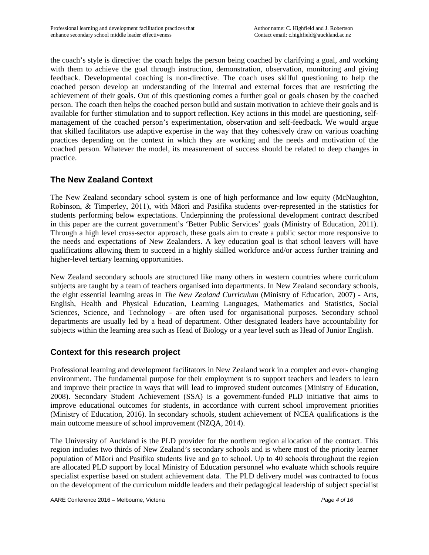the coach's style is directive: the coach helps the person being coached by clarifying a goal, and working with them to achieve the goal through instruction, demonstration, observation, monitoring and giving feedback. Developmental coaching is non-directive. The coach uses skilful questioning to help the coached person develop an understanding of the internal and external forces that are restricting the achievement of their goals. Out of this questioning comes a further goal or goals chosen by the coached person. The coach then helps the coached person build and sustain motivation to achieve their goals and is available for further stimulation and to support reflection. Key actions in this model are questioning, selfmanagement of the coached person's experimentation, observation and self-feedback. We would argue that skilled facilitators use adaptive expertise in the way that they cohesively draw on various coaching practices depending on the context in which they are working and the needs and motivation of the coached person. Whatever the model, its measurement of success should be related to deep changes in practice.

## **The New Zealand Context**

The New Zealand secondary school system is one of high performance and low equity (McNaughton, Robinson, & Timperley, 2011), with Māori and Pasifika students over-represented in the statistics for students performing below expectations. Underpinning the professional development contract described in this paper are the current government's 'Better Public Services' goals (Ministry of Education, 2011). Through a high level cross-sector approach, these goals aim to create a public sector more responsive to the needs and expectations of New Zealanders. A key education goal is that school leavers will have qualifications allowing them to succeed in a highly skilled workforce and/or access further training and higher-level tertiary learning opportunities.

New Zealand secondary schools are structured like many others in western countries where curriculum subjects are taught by a team of teachers organised into departments. In New Zealand secondary schools, the eight essential learning areas in *The New Zealand Curriculum* (Ministry of Education, 2007) - Arts, English, Health and Physical Education, Learning Languages, Mathematics and Statistics, Social Sciences, Science, and Technology - are often used for organisational purposes. Secondary school departments are usually led by a head of department. Other designated leaders have accountability for subjects within the learning area such as Head of Biology or a year level such as Head of Junior English.

## **Context for this research project**

Professional learning and development facilitators in New Zealand work in a complex and ever- changing environment. The fundamental purpose for their employment is to support teachers and leaders to learn and improve their practice in ways that will lead to improved student outcomes (Ministry of Education, 2008). Secondary Student Achievement (SSA) is a government-funded PLD initiative that aims to improve educational outcomes for students, in accordance with current school improvement priorities (Ministry of Education, 2016). In secondary schools, student achievement of NCEA qualifications is the main outcome measure of school improvement (NZQA, 2014).

The University of Auckland is the PLD provider for the northern region allocation of the contract. This region includes two thirds of New Zealand's secondary schools and is where most of the priority learner population of Māori and Pasifika students live and go to school. Up to 40 schools throughout the region are allocated PLD support by local Ministry of Education personnel who evaluate which schools require specialist expertise based on student achievement data. The PLD delivery model was contracted to focus on the development of the curriculum middle leaders and their pedagogical leadership of subject specialist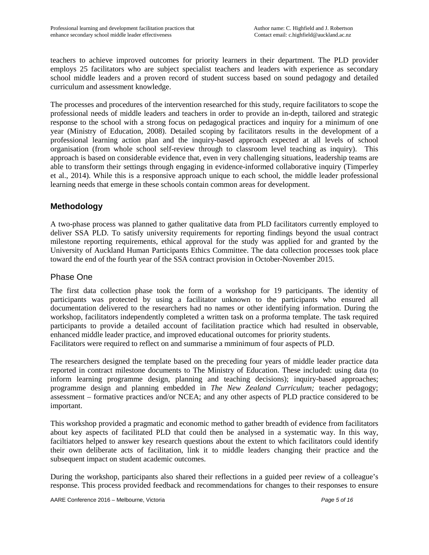teachers to achieve improved outcomes for priority learners in their department. The PLD provider employs 25 facilitators who are subject specialist teachers and leaders with experience as secondary school middle leaders and a proven record of student success based on sound pedagogy and detailed curriculum and assessment knowledge.

The processes and procedures of the intervention researched for this study, require facilitators to scope the professional needs of middle leaders and teachers in order to provide an in-depth, tailored and strategic response to the school with a strong focus on pedagogical practices and inquiry for a minimum of one year (Ministry of Education, 2008). Detailed scoping by facilitators results in the development of a professional learning action plan and the inquiry-based approach expected at all levels of school organisation (from whole school self-review through to classroom level teaching as inquiry). This approach is based on considerable evidence that, even in very challenging situations, leadership teams are able to transform their settings through engaging in evidence-informed collaborative inquiry (Timperley et al., 2014). While this is a responsive approach unique to each school, the middle leader professional learning needs that emerge in these schools contain common areas for development.

## **Methodology**

A two-phase process was planned to gather qualitative data from PLD facilitators currently employed to deliver SSA PLD. To satisfy university requirements for reporting findings beyond the usual contract milestone reporting requirements, ethical approval for the study was applied for and granted by the University of Auckland Human Participants Ethics Committee. The data collection processes took place toward the end of the fourth year of the SSA contract provision in October-November 2015.

### Phase One

The first data collection phase took the form of a workshop for 19 participants. The identity of participants was protected by using a facilitator unknown to the participants who ensured all documentation delivered to the researchers had no names or other identifying information. During the workshop, facilitators independently completed a written task on a proforma template. The task required participants to provide a detailed account of facilitation practice which had resulted in observable, enhanced middle leader practice, and improved educational outcomes for priority students. Facilitators were required to reflect on and summarise a mminimum of four aspects of PLD.

The researchers designed the template based on the preceding four years of middle leader practice data reported in contract milestone documents to The Ministry of Education. These included: using data (to inform learning programme design, planning and teaching decisions); inquiry-based approaches; programme design and planning embedded in *The New Zealand Curriculum;* teacher pedagogy; assessment – formative practices and/or NCEA; and any other aspects of PLD practice considered to be important.

This workshop provided a pragmatic and economic method to gather breadth of evidence from facilitators about key aspects of facilitated PLD that could then be analysed in a systematic way. In this way, faciltiators helped to answer key research questions about the extent to which facilitators could identify their own deliberate acts of facilitation, link it to middle leaders changing their practice and the subsequent impact on student academic outcomes.

During the workshop, participants also shared their reflections in a guided peer review of a colleague's response. This process provided feedback and recommendations for changes to their responses to ensure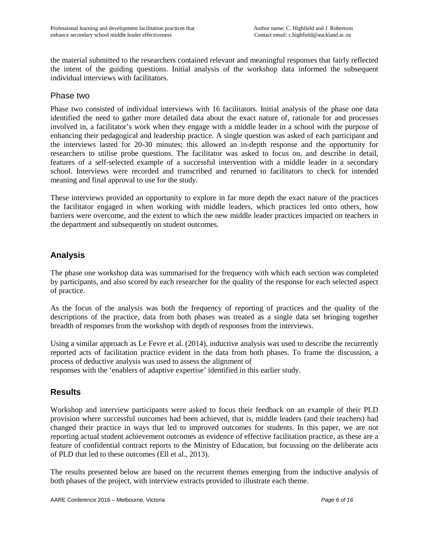the material submitted to the researchers contained relevant and meaningful responses that fairly reflected the intent of the guiding questions. Initial analysis of the workshop data informed the subsequent individual interviews with facilitators.

### Phase two

Phase two consisted of individual interviews with 16 facilitators. Initial analysis of the phase one data identified the need to gather more detailed data about the exact nature of, rationale for and processes involved in, a facilitator's work when they engage with a middle leader in a school with the purpose of enhancing their pedagogical and leadership practice. A single question was asked of each participant and the interviews lasted for 20-30 minutes; this allowed an in-depth response and the opportunity for researchers to utilise probe questions. The facilitator was asked to focus on, and describe in detail, features of a self-selected example of a successful intervention with a middle leader in a secondary school. Interviews were recorded and transcribed and returned to facilitators to check for intended meaning and final approval to use for the study.

These interviews provided an opportunity to explore in far more depth the exact nature of the practices the facilitator engaged in when working with middle leaders, which practices led onto others, how barriers were overcome, and the extent to which the new middle leader practices impacted on teachers in the department and subsequently on student outcomes.

## **Analysis**

The phase one workshop data was summarised for the frequency with which each section was completed by participants, and also scored by each researcher for the quality of the response for each selected aspect of practice.

As the focus of the analysis was both the frequency of reporting of practices and the quality of the descriptions of the practice, data from both phases was treated as a single data set bringing together breadth of responses from the workshop with depth of responses from the interviews.

Using a similar approach as Le Fevre et al. (2014), inductive analysis was used to describe the recurrently reported acts of facilitation practice evident in the data from both phases. To frame the discussion, a process of deductive analysis was used to assess the alignment of

responses with the 'enablers of adaptive expertise' identified in this earlier study.

## **Results**

Workshop and interview participants were asked to focus their feedback on an example of their PLD provision where successful outcomes had been achieved, that is, middle leaders (and their teachers) had changed their practice in ways that led to improved outcomes for students. In this paper, we are not reporting actual student achievement outcomes as evidence of effective facilitation practice, as these are a feature of confidential contract reports to the Ministry of Education, but focussing on the deliberate acts of PLD that led to these outcomes (Ell et al., 2013).

The results presented below are based on the recurrent themes emerging from the inductive analysis of both phases of the project, with interview extracts provided to illustrate each theme.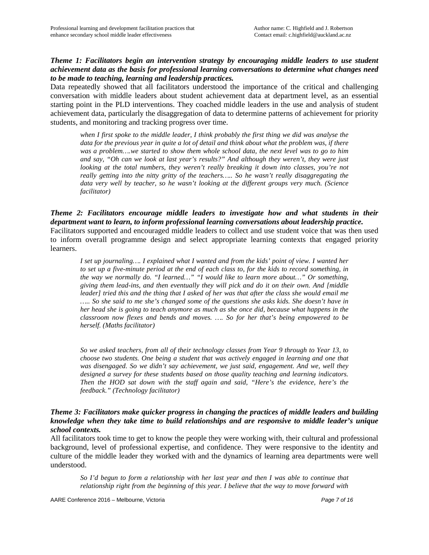#### *Theme 1: Facilitators begin an intervention strategy by encouraging middle leaders to use student achievement data as the basis for professional learning conversations to determine what changes need to be made to teaching, learning and leadership practices.*

Data repeatedly showed that all facilitators understood the importance of the critical and challenging conversation with middle leaders about student achievement data at department level, as an essential starting point in the PLD interventions. They coached middle leaders in the use and analysis of student achievement data, particularly the disaggregation of data to determine patterns of achievement for priority students, and monitoring and tracking progress over time.

*when I first spoke to the middle leader, I think probably the first thing we did was analyse the data for the previous year in quite a lot of detail and think about what the problem was, if there was a problem….we started to show them whole school data, the next level was to go to him and say, "Oh can we look at last year's results?" And although they weren't, they were just looking at the total numbers, they weren't really breaking it down into classes, you're not really getting into the nitty gritty of the teachers….. So he wasn't really disaggregating the data very well by teacher, so he wasn't looking at the different groups very much. (Science facilitator)*

#### *Theme 2: Facilitators encourage middle leaders to investigate how and what students in their department want to learn, to inform professional learning conversations about leadership practice.*  Facilitators supported and encouraged middle leaders to collect and use student voice that was then used to inform overall programme design and select appropriate learning contexts that engaged priority learners.

*I set up journaling…. I explained what I wanted and from the kids' point of view. I wanted her to set up a five-minute period at the end of each class to, for the kids to record something, in the way we normally do. "I learned…" "I would like to learn more about…" Or something, giving them lead-ins, and then eventually they will pick and do it on their own. And [middle leader] tried this and the thing that I asked of her was that after the class she would email me ….. So she said to me she's changed some of the questions she asks kids. She doesn't have in her head she is going to teach anymore as much as she once did, because what happens in the classroom now flexes and bends and moves. …. So for her that's being empowered to be herself. (Maths facilitator)* 

*So we asked teachers, from all of their technology classes from Year 9 through to Year 13, to choose two students. One being a student that was actively engaged in learning and one that was disengaged. So we didn't say achievement, we just said, engagement. And we, well they designed a survey for these students based on those quality teaching and learning indicators. Then the HOD sat down with the staff again and said, "Here's the evidence, here's the feedback." (Technology facilitator)*

#### *Theme 3: Facilitators make quicker progress in changing the practices of middle leaders and building knowledge when they take time to build relationships and are responsive to middle leader's unique school contexts.*

All facilitators took time to get to know the people they were working with, their cultural and professional background, level of professional expertise, and confidence. They were responsive to the identity and culture of the middle leader they worked with and the dynamics of learning area departments were well understood.

*So I'd begun to form a relationship with her last year and then I was able to continue that relationship right from the beginning of this year. I believe that the way to move forward with*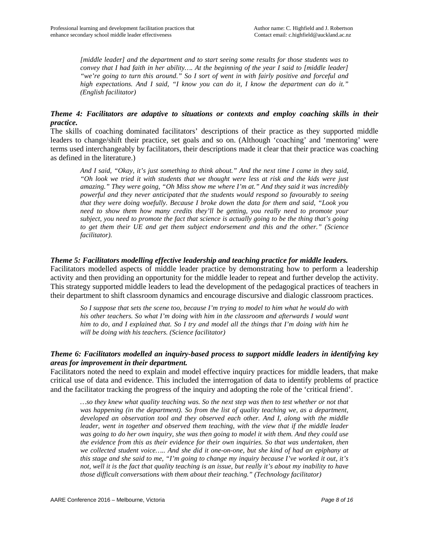*[middle leader] and the department and to start seeing some results for those students was to convey that I had faith in her ability…. At the beginning of the year I said to [middle leader] "we're going to turn this around." So I sort of went in with fairly positive and forceful and high expectations. And I said, "I know you can do it, I know the department can do it." (English facilitator)*

#### *Theme 4: Facilitators are adaptive to situations or contexts and employ coaching skills in their practice.*

The skills of coaching dominated facilitators' descriptions of their practice as they supported middle leaders to change/shift their practice, set goals and so on. (Although 'coaching' and 'mentoring' were terms used interchangeably by facilitators, their descriptions made it clear that their practice was coaching as defined in the literature.)

*And I said, "Okay, it's just something to think about." And the next time I came in they said, "Oh look we tried it with students that we thought were less at risk and the kids were just amazing." They were going, "Oh Miss show me where I'm at." And they said it was incredibly powerful and they never anticipated that the students would respond so favourably to seeing that they were doing woefully. Because I broke down the data for them and said, "Look you need to show them how many credits they'll be getting, you really need to promote your subject, you need to promote the fact that science is actually going to be the thing that's going to get them their UE and get them subject endorsement and this and the other." (Science facilitator).*

#### *Theme 5: Facilitators modelling effective leadership and teaching practice for middle leaders.*

Facilitators modelled aspects of middle leader practice by demonstrating how to perform a leadership activity and then providing an opportunity for the middle leader to repeat and further develop the activity. This strategy supported middle leaders to lead the development of the pedagogical practices of teachers in their department to shift classroom dynamics and encourage discursive and dialogic classroom practices.

*So I suppose that sets the scene too, because I'm trying to model to him what he would do with his other teachers. So what I'm doing with him in the classroom and afterwards I would want him to do, and I explained that. So I try and model all the things that I'm doing with him he will be doing with his teachers. (Science facilitator)* 

#### *Theme 6: Facilitators modelled an inquiry-based process to support middle leaders in identifying key areas for improvement in their department.*

Facilitators noted the need to explain and model effective inquiry practices for middle leaders, that make critical use of data and evidence. This included the interrogation of data to identify problems of practice and the facilitator tracking the progress of the inquiry and adopting the role of the 'critical friend'.

*…so they knew what quality teaching was. So the next step was then to test whether or not that was happening (in the department). So from the list of quality teaching we, as a department, developed an observation tool and they observed each other. And I, along with the middle leader, went in together and observed them teaching, with the view that if the middle leader was going to do her own inquiry, she was then going to model it with them. And they could use the evidence from this as their evidence for their own inquiries. So that was undertaken, then we collected student voice….. And she did it one-on-one, but she kind of had an epiphany at this stage and she said to me, "I'm going to change my inquiry because I've worked it out, it's not, well it is the fact that quality teaching is an issue, but really it's about my inability to have those difficult conversations with them about their teaching." (Technology facilitator)*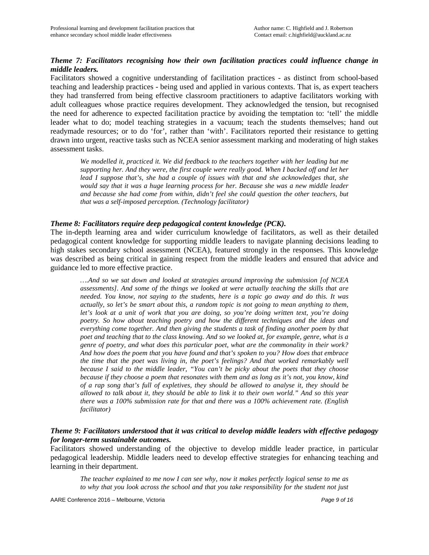### *Theme 7: Facilitators recognising how their own facilitation practices could influence change in middle leaders.*

Facilitators showed a cognitive understanding of facilitation practices - as distinct from school-based teaching and leadership practices - being used and applied in various contexts. That is, as expert teachers they had transferred from being effective classroom practitioners to adaptive facilitators working with adult colleagues whose practice requires development. They acknowledged the tension, but recognised the need for adherence to expected facilitation practice by avoiding the temptation to: 'tell' the middle leader what to do; model teaching strategies in a vacuum; teach the students themselves; hand out readymade resources; or to do 'for', rather than 'with'. Facilitators reported their resistance to getting drawn into urgent, reactive tasks such as NCEA senior assessment marking and moderating of high stakes assessment tasks.

We modelled it, practiced it. We did feedback to the teachers together with her leading but me *supporting her. And they were, the first couple were really good. When I backed off and let her lead I suppose that's, she had a couple of issues with that and she acknowledges that, she would say that it was a huge learning process for her. Because she was a new middle leader and because she had come from within, didn't feel she could question the other teachers, but that was a self-imposed perception. (Technology facilitator)*

#### *Theme 8: Facilitators require deep pedagogical content knowledge (PCK).*

The in-depth learning area and wider curriculum knowledge of facilitators, as well as their detailed pedagogical content knowledge for supporting middle leaders to navigate planning decisions leading to high stakes secondary school assessment (NCEA), featured strongly in the responses. This knowledge was described as being critical in gaining respect from the middle leaders and ensured that advice and guidance led to more effective practice.

*….And so we sat down and looked at strategies around improving the submission [of NCEA assessments]. And some of the things we looked at were actually teaching the skills that are needed. You know, not saying to the students, here is a topic go away and do this. It was actually, so let's be smart about this, a random topic is not going to mean anything to them, let's look at a unit of work that you are doing, so you're doing written text, you're doing poetry. So how about teaching poetry and how the different techniques and the ideas and everything come together. And then giving the students a task of finding another poem by that poet and teaching that to the class knowing. And so we looked at, for example, genre, what is a genre of poetry, and what does this particular poet, what are the commonality in their work? And how does the poem that you have found and that's spoken to you? How does that embrace the time that the poet was living in, the poet's feelings? And that worked remarkably well because I said to the middle leader, "You can't be picky about the poets that they choose because if they choose a poem that resonates with them and as long as it's not, you know, kind of a rap song that's full of expletives, they should be allowed to analyse it, they should be allowed to talk about it, they should be able to link it to their own world." And so this year there was a 100% submission rate for that and there was a 100% achievement rate. (English facilitator)* 

#### *Theme 9: Facilitators understood that it was critical to develop middle leaders with effective pedagogy for longer-term sustainable outcomes.*

Facilitators showed understanding of the objective to develop middle leader practice, in particular pedagogical leadership. Middle leaders need to develop effective strategies for enhancing teaching and learning in their department.

*The teacher explained to me now I can see why, now it makes perfectly logical sense to me as to why that you look across the school and that you take responsibility for the student not just*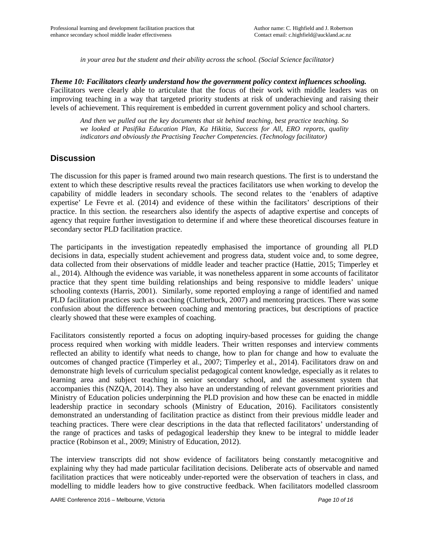*in your area but the student and their ability across the school. (Social Science facilitator)* 

*Theme 10: Facilitators clearly understand how the government policy context influences schooling.* Facilitators were clearly able to articulate that the focus of their work with middle leaders was on improving teaching in a way that targeted priority students at risk of underachieving and raising their levels of achievement. This requirement is embedded in current government policy and school charters.

*And then we pulled out the key documents that sit behind teaching, best practice teaching. So we looked at Pasifika Education Plan, Ka Hikitia, Success for All, ERO reports, quality indicators and obviously the Practising Teacher Competencies. (Technology facilitator)* 

### **Discussion**

The discussion for this paper is framed around two main research questions. The first is to understand the extent to which these descriptive results reveal the practices facilitators use when working to develop the capability of middle leaders in secondary schools. The second relates to the 'enablers of adaptive expertise' Le Fevre et al. (2014) and evidence of these within the facilitators' descriptions of their practice. In this section. the researchers also identify the aspects of adaptive expertise and concepts of agency that require further investigation to determine if and where these theoretical discourses feature in secondary sector PLD facilitation practice.

The participants in the investigation repeatedly emphasised the importance of grounding all PLD decisions in data, especially student achievement and progress data, student voice and, to some degree, data collected from their observations of middle leader and teacher practice (Hattie, 2015; Timperley et al., 2014). Although the evidence was variable, it was nonetheless apparent in some accounts of facilitator practice that they spent time building relationships and being responsive to middle leaders' unique schooling contexts (Harris, 2001). Similarly, some reported employing a range of identified and named PLD facilitation practices such as coaching (Clutterbuck, 2007) and mentoring practices. There was some confusion about the difference between coaching and mentoring practices, but descriptions of practice clearly showed that these were examples of coaching.

Facilitators consistently reported a focus on adopting inquiry-based processes for guiding the change process required when working with middle leaders. Their written responses and interview comments reflected an ability to identify what needs to change, how to plan for change and how to evaluate the outcomes of changed practice (Timperley et al., 2007; Timperley et al., 2014). Facilitators draw on and demonstrate high levels of curriculum specialist pedagogical content knowledge, especially as it relates to learning area and subject teaching in senior secondary school, and the assessment system that accompanies this (NZQA, 2014). They also have an understanding of relevant government priorities and Ministry of Education policies underpinning the PLD provision and how these can be enacted in middle leadership practice in secondary schools (Ministry of Education, 2016). Facilitators consistently demonstrated an understanding of facilitation practice as distinct from their previous middle leader and teaching practices. There were clear descriptions in the data that reflected facilitators' understanding of the range of practices and tasks of pedagogical leadership they knew to be integral to middle leader practice (Robinson et al., 2009; Ministry of Education, 2012).

The interview transcripts did not show evidence of facilitators being constantly metacognitive and explaining why they had made particular facilitation decisions. Deliberate acts of observable and named facilitation practices that were noticeably under-reported were the observation of teachers in class, and modelling to middle leaders how to give constructive feedback. When facilitators modelled classroom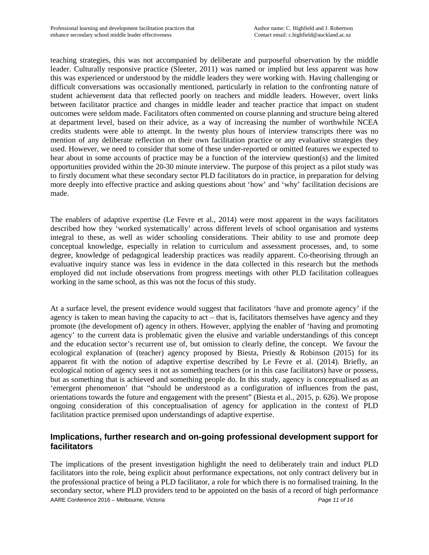teaching strategies, this was not accompanied by deliberate and purposeful observation by the middle leader. Culturally responsive practice (Sleeter, 2011) was named or implied but less apparent was how this was experienced or understood by the middle leaders they were working with. Having challenging or difficult conversations was occasionally mentioned, particularly in relation to the confronting nature of student achievement data that reflected poorly on teachers and middle leaders. However, overt links between facilitator practice and changes in middle leader and teacher practice that impact on student outcomes were seldom made. Facilitators often commented on course planning and structure being altered at department level, based on their advice, as a way of increasing the number of worthwhile NCEA credits students were able to attempt. In the twenty plus hours of interview transcripts there was no mention of any deliberate reflection on their own facilitation practice or any evaluative strategies they used. However, we need to consider that some of these under-reported or omitted features we expected to hear about in some accounts of practice may be a function of the interview question(s) and the limited opportunities provided within the 20-30 minute interview. The purpose of this project as a pilot study was to firstly document what these secondary sector PLD facilitators do in practice, in preparation for delving more deeply into effective practice and asking questions about 'how' and 'why' facilitation decisions are made.

The enablers of adaptive expertise (Le Fevre et al., 2014) were most apparent in the ways facilitators described how they 'worked systematically' across different levels of school organisation and systems integral to these, as well as wider schooling considerations. Their ability to use and promote deep conceptual knowledge, especially in relation to curriculum and assessment processes, and, to some degree, knowledge of pedagogical leadership practices was readily apparent. Co-theorising through an evaluative inquiry stance was less in evidence in the data collected in this research but the methods employed did not include observations from progress meetings with other PLD facilitation colleagues working in the same school, as this was not the focus of this study.

At a surface level, the present evidence would suggest that facilitators 'have and promote agency' if the agency is taken to mean having the capacity to act – that is, facilitators themselves have agency and they promote (the development of) agency in others. However, applying the enabler of 'having and promoting agency' to the current data is problematic given the elusive and variable understandings of this concept and the education sector's recurrent use of, but omission to clearly define, the concept. We favour the ecological explanation of (teacher) agency proposed by Biesta, Priestly & Robinson (2015) for its apparent fit with the notion of adaptive expertise described by Le Fevre et al. (2014). Briefly, an ecological notion of agency sees it not as something teachers (or in this case facilitators) have or possess, but as something that is achieved and something people do. In this study, agency is conceptualised as an 'emergent phenomenon' that "should be understood as a configuration of influences from the past, orientations towards the future and engagement with the present" (Biesta et al., 2015, p. 626). We propose ongoing consideration of this conceptualisation of agency for application in the context of PLD facilitation practice premised upon understandings of adaptive expertise.

## **Implications, further research and on-going professional development support for facilitators**

AARE Conference 2016 – Melbourne, Victoria *Page 11 of 16* The implications of the present investigation highlight the need to deliberately train and induct PLD facilitators into the role, being explicit about performance expectations, not only contract delivery but in the professional practice of being a PLD facilitator, a role for which there is no formalised training. In the secondary sector, where PLD providers tend to be appointed on the basis of a record of high performance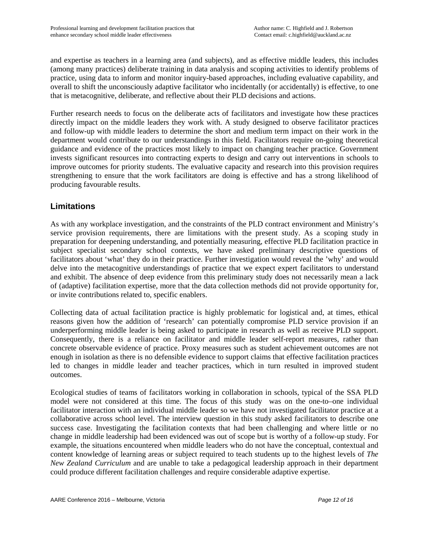and expertise as teachers in a learning area (and subjects), and as effective middle leaders, this includes (among many practices) deliberate training in data analysis and scoping activities to identify problems of practice, using data to inform and monitor inquiry-based approaches, including evaluative capability, and overall to shift the unconsciously adaptive facilitator who incidentally (or accidentally) is effective, to one that is metacognitive, deliberate, and reflective about their PLD decisions and actions.

Further research needs to focus on the deliberate acts of facilitators and investigate how these practices directly impact on the middle leaders they work with. A study designed to observe facilitator practices and follow-up with middle leaders to determine the short and medium term impact on their work in the department would contribute to our understandings in this field. Facilitators require on-going theoretical guidance and evidence of the practices most likely to impact on changing teacher practice. Government invests significant resources into contracting experts to design and carry out interventions in schools to improve outcomes for priority students. The evaluative capacity and research into this provision requires strengthening to ensure that the work facilitators are doing is effective and has a strong likelihood of producing favourable results.

## **Limitations**

As with any workplace investigation, and the constraints of the PLD contract environment and Ministry's service provision requirements, there are limitations with the present study. As a scoping study in preparation for deepening understanding, and potentially measuring, effective PLD facilitation practice in subject specialist secondary school contexts, we have asked preliminary descriptive questions of facilitators about 'what' they do in their practice. Further investigation would reveal the 'why' and would delve into the metacognitive understandings of practice that we expect expert facilitators to understand and exhibit. The absence of deep evidence from this preliminary study does not necessarily mean a lack of (adaptive) facilitation expertise, more that the data collection methods did not provide opportunity for, or invite contributions related to, specific enablers.

Collecting data of actual facilitation practice is highly problematic for logistical and, at times, ethical reasons given how the addition of 'research' can potentially compromise PLD service provision if an underperforming middle leader is being asked to participate in research as well as receive PLD support. Consequently, there is a reliance on facilitator and middle leader self-report measures, rather than concrete observable evidence of practice. Proxy measures such as student achievement outcomes are not enough in isolation as there is no defensible evidence to support claims that effective facilitation practices led to changes in middle leader and teacher practices, which in turn resulted in improved student outcomes.

Ecological studies of teams of facilitators working in collaboration in schools, typical of the SSA PLD model were not considered at this time. The focus of this study was on the one-to–one individual facilitator interaction with an individual middle leader so we have not investigated facilitator practice at a collaborative across school level. The interview question in this study asked facilitators to describe one success case. Investigating the facilitation contexts that had been challenging and where little or no change in middle leadership had been evidenced was out of scope but is worthy of a follow-up study. For example, the situations encountered when middle leaders who do not have the conceptual, contextual and content knowledge of learning areas or subject required to teach students up to the highest levels of *The New Zealand Curriculum* and are unable to take a pedagogical leadership approach in their department could produce different facilitation challenges and require considerable adaptive expertise.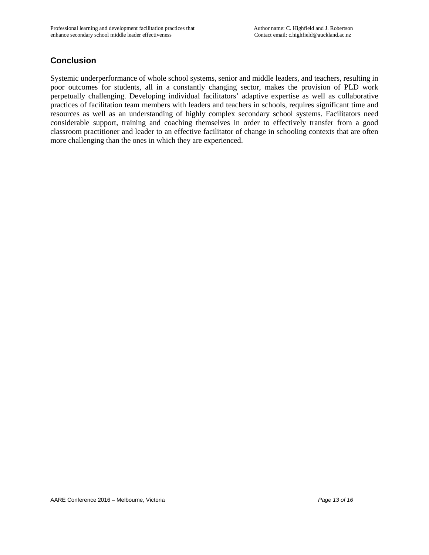# **Conclusion**

Systemic underperformance of whole school systems, senior and middle leaders, and teachers, resulting in poor outcomes for students, all in a constantly changing sector, makes the provision of PLD work perpetually challenging. Developing individual facilitators' adaptive expertise as well as collaborative practices of facilitation team members with leaders and teachers in schools, requires significant time and resources as well as an understanding of highly complex secondary school systems. Facilitators need considerable support, training and coaching themselves in order to effectively transfer from a good classroom practitioner and leader to an effective facilitator of change in schooling contexts that are often more challenging than the ones in which they are experienced.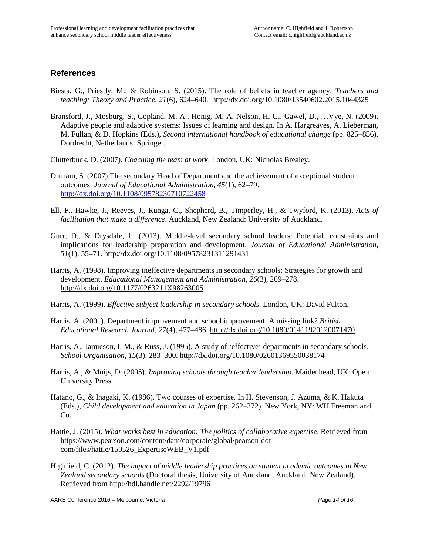### **References**

- Biesta, G., Priestly, M., & Robinson, S. (2015). The role of beliefs in teacher agency. *Teachers and teaching: Theory and Practice, 21*(6), 624–640. http://dx.doi.org/10.1080/13540602.2015.1044325
- Bransford, J., Mosburg, S., Copland, M. A., Honig, M. A, Nelson, H. G., Gawel, D., …Vye, N. (2009). Adaptive people and adaptive systems: Issues of learning and design. In A. Hargreaves, A. Lieberman, M. Fullan, & D. Hopkins (Eds.), *Second international handbook of educational change* (pp. 825–856). Dordrecht, Netherlands: Springer.
- Clutterbuck, D. (2007). *Coaching the team at work*. London, UK: Nicholas Brealey.
- Dinham, S. (2007).The secondary Head of Department and the achievement of exceptional student outcomes. *Journal of Educational Administration, 45*(1), 62–79. <http://dx.doi.org/10.1108/09578230710722458>
- Ell, F., Hawke, J., Reeves, J., Runga, C., Shepherd, B., Timperley, H., & Twyford, K. (2013). *Acts of facilitation that make a difference*. Auckland, New Zealand: University of Auckland.
- Gurr, D., & Drysdale, L. (2013). Middle-level secondary school leaders: Potential, constraints and implications for leadership preparation and development. *Journal of Educational Administration, 51*(1), 55–71. http://dx.doi.org/10.1108/09578231311291431
- Harris, A. (1998). Improving ineffective departments in secondary schools: Strategies for growth and development. *Educational Management and Administration, 26*(3), 269–278. http://dx.doi.org/10.1177/0263211X98263005
- Harris, A. (1999). *Effective subject leadership in secondary schools*. London, UK: David Fulton.
- Harris, A. (2001). Department improvement and school improvement: A missing link? *British Educational Research Journal*, *27*(4), 477–486. http://dx.doi.org/10.1080/01411920120071470
- Harris, A., Jamieson, I. M., & Russ, J. (1995). A study of 'effective' departments in secondary schools. *School Organisation, 15*(3), 283–300. http://dx.doi.org/10.1080/02601369550038174
- Harris, A., & Muijs, D. (2005). *Improving schools through teacher leadership*. Maidenhead, UK: Open University Press.
- Hatano, G., & Inagaki, K. (1986). Two courses of expertise. In H. Stevenson, J. Azuma, & K. Hakuta (Eds.), *Child development and education in Japan* (pp. 262–272). New York, NY: WH Freeman and Co.
- Hattie, J. (2015). *What works best in education: The politics of collaborative expertise*. Retrieved from https://www.pearson.com/content/dam/corporate/global/pearson-dotcom/files/hattie/150526\_ExpertiseWEB\_V1.pdf
- Highfield, C. (2012). *The impact of middle leadership practices on student academic outcomes in New Zealand secondary schools* (Doctoral thesis, University of Auckland, Auckland, New Zealand). Retrieved from http://hdl.handle.net/2292/19796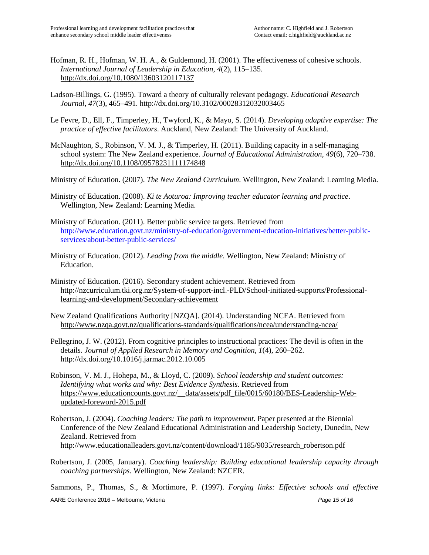- Hofman, R. H., Hofman, W. H. A., & Guldemond, H. (2001). The effectiveness of cohesive schools. *International Journal of Leadership in Education, 4*(2), 115–135. http://dx.doi.org/10.1080/13603120117137
- Ladson-Billings, G. (1995). Toward a theory of culturally relevant pedagogy. *Educational Research Journal, 47*(3), 465–491. http://dx.doi.org/10.3102/00028312032003465
- Le Fevre, D., Ell, F., Timperley, H., Twyford, K., & Mayo, S. (2014). *Developing adaptive expertise: The practice of effective facilitators*. Auckland, New Zealand: The University of Auckland.
- McNaughton, S., Robinson, V. M. J., & Timperley, H. (2011). Building capacity in a self-managing school system: The New Zealand experience. *Journal of Educational Administration, 49*(6), 720–738. http://dx.doi.org/10.1108/09578231111174848
- Ministry of Education. (2007). *The New Zealand Curriculum*. Wellington, New Zealand: Learning Media.
- Ministry of Education. (2008). *Ki te Aoturoa: Improving teacher educator learning and practice*. Wellington, New Zealand: Learning Media.
- Ministry of Education. (2011). Better public service targets. Retrieved fro[m](http://www.minedu.govt.nz/theministry/betterpublicservices.aspx) http://www.education.govt.nz/ministry-of-education/government-education-initiatives/better-publicservices/about-better-public-services/
- Ministry of Education. (2012). *Leading from the middle*. Wellington, New Zealand: Ministry of Education.
- Ministry of Education. (2016). Secondary student achievement. Retrieved from http://nzcurriculum.tki.org.nz/System-of-support-incl.-PLD/School-initiated-supports/Professionallearning-and-development/Secondary-achievement
- New Zealand Qualifications Authority [NZQA]. (2014). Understanding NCEA. Retrieved from http://www.nzqa.govt.nz/qualifications-standards/qualifications/ncea/understanding-ncea/
- Pellegrino, J. W. (2012). From cognitive principles to instructional practices: The devil is often in the details. *Journal of Applied Research in Memory and Cognition*, *1*(4), 260–262. http://dx.doi.org/10.1016/j.jarmac.2012.10.005
- Robinson, V. M. J., Hohepa, M., & Lloyd, C. (2009). *School leadership and student outcomes: Identifying what works and why: Best Evidence Synthesis*. Retrieved from https://www.educationcounts.govt.nz/\_\_data/assets/pdf\_file/0015/60180/BES-Leadership-Webupdated-foreword-2015.pdf
- Robertson, J. (2004). *Coaching leaders: The path to improvement*. Paper presented at the Biennial Conference of the New Zealand Educational Administration and Leadership Society, Dunedin, New Zealand. Retrieved from http://www.educationalleaders.govt.nz/content/download/1185/9035/research\_robertson.pdf
- Robertson, J. (2005, January). *Coaching leadership: Building educational leadership capacity through coaching partnerships*. Wellington, New Zealand: NZCER.

AARE Conference 2016 – Melbourne, Victoria *Page 15 of 16* Sammons, P., Thomas, S., & Mortimore, P. (1997). *Forging links: Effective schools and effective*